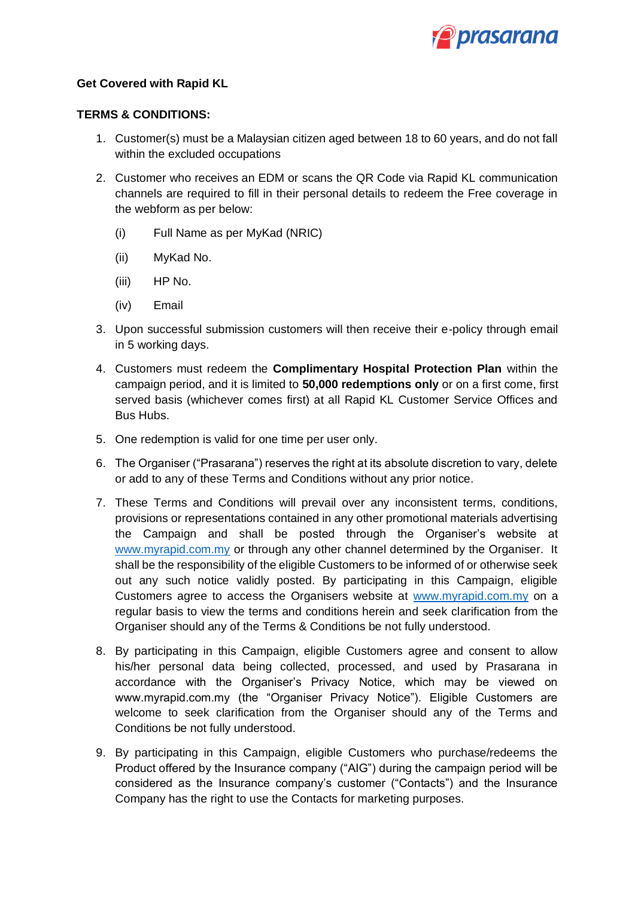

## **Get Covered with Rapid KL**

## **TERMS & CONDITIONS:**

- 1. Customer(s) must be a Malaysian citizen aged between 18 to 60 years, and do not fall within the excluded occupations
- 2. Customer who receives an EDM or scans the QR Code via Rapid KL communication channels are required to fill in their personal details to redeem the Free coverage in the webform as per below:
	- (i) Full Name as per MyKad (NRIC)
	- (ii) MyKad No.
	- (iii) HP No.
	- (iv) Email
- 3. Upon successful submission customers will then receive their e-policy through email in 5 working days.
- 4. Customers must redeem the **Complimentary Hospital Protection Plan** within the campaign period, and it is limited to **50,000 redemptions only** or on a first come, first served basis (whichever comes first) at all Rapid KL Customer Service Offices and Bus Hubs.
- 5. One redemption is valid for one time per user only.
- 6. The Organiser ("Prasarana") reserves the right at its absolute discretion to vary, delete or add to any of these Terms and Conditions without any prior notice.
- 7. These Terms and Conditions will prevail over any inconsistent terms, conditions, provisions or representations contained in any other promotional materials advertising the Campaign and shall be posted through the Organiser's website at [www.myrapid.com.my](http://www.myrapid.com.my/) or through any other channel determined by the Organiser. It shall be the responsibility of the eligible Customers to be informed of or otherwise seek out any such notice validly posted. By participating in this Campaign, eligible Customers agree to access the Organisers website at [www.myrapid.com.my](http://www.myrapid.com.my/) on a regular basis to view the terms and conditions herein and seek clarification from the Organiser should any of the Terms & Conditions be not fully understood.
- 8. By participating in this Campaign, eligible Customers agree and consent to allow his/her personal data being collected, processed, and used by Prasarana in accordance with the Organiser's Privacy Notice, which may be viewed on www.myrapid.com.my (the "Organiser Privacy Notice"). Eligible Customers are welcome to seek clarification from the Organiser should any of the Terms and Conditions be not fully understood.
- 9. By participating in this Campaign, eligible Customers who purchase/redeems the Product offered by the Insurance company ("AIG") during the campaign period will be considered as the Insurance company's customer ("Contacts") and the Insurance Company has the right to use the Contacts for marketing purposes.